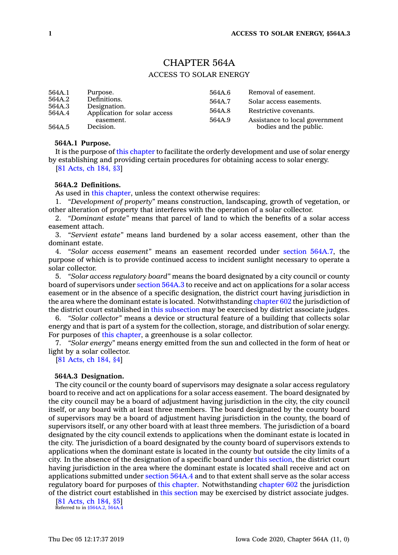# CHAPTER 564A

# ACCESS TO SOLAR ENERGY

| 564A.1           | Purpose.                                                                  | 564A.6 | Removal of easement.           |
|------------------|---------------------------------------------------------------------------|--------|--------------------------------|
| 564A.2           | Definitions.<br>Designation.<br>Application for solar access<br>easement. | 564A.7 | Solar access easements.        |
| 564A.3<br>564A.4 |                                                                           | 564A.8 | Restrictive covenants.         |
|                  |                                                                           | 564A.9 | Assistance to local government |
| 564A.5           | Decision.                                                                 |        | bodies and the public.         |

### **564A.1 Purpose.**

It is the purpose of this [chapter](https://www.legis.iowa.gov/docs/code//564A.pdf) to facilitate the orderly development and use of solar energy by establishing and providing certain procedures for obtaining access to solar energy. [81 [Acts,](https://www.legis.iowa.gov/docs/acts/1981/CH0184.pdf) ch 184, §3]

# **564A.2 Definitions.**

As used in this [chapter](https://www.legis.iowa.gov/docs/code//564A.pdf), unless the context otherwise requires:

1. *"Development of property"* means construction, landscaping, growth of vegetation, or other alteration of property that interferes with the operation of <sup>a</sup> solar collector.

2. *"Dominant estate"* means that parcel of land to which the benefits of <sup>a</sup> solar access easement attach.

3. *"Servient estate"* means land burdened by <sup>a</sup> solar access easement, other than the dominant estate.

4. *"Solar access easement"* means an easement recorded under section [564A.7](https://www.legis.iowa.gov/docs/code/564A.7.pdf), the purpose of which is to provide continued access to incident sunlight necessary to operate <sup>a</sup> solar collector.

5. *"Solar access regulatory board"* means the board designated by <sup>a</sup> city council or county board of supervisors under [section](https://www.legis.iowa.gov/docs/code/564A.3.pdf) 564A.3 to receive and act on applications for <sup>a</sup> solar access easement or in the absence of <sup>a</sup> specific designation, the district court having jurisdiction in the area where the dominant estate is located. Notwithstanding [chapter](https://www.legis.iowa.gov/docs/code//602.pdf) 602 the jurisdiction of the district court established in this [subsection](https://www.legis.iowa.gov/docs/code/564A.2.pdf) may be exercised by district associate judges.

6. *"Solar collector"* means <sup>a</sup> device or structural feature of <sup>a</sup> building that collects solar energy and that is part of <sup>a</sup> system for the collection, storage, and distribution of solar energy. For purposes of this [chapter](https://www.legis.iowa.gov/docs/code//564A.pdf), <sup>a</sup> greenhouse is <sup>a</sup> solar collector.

7. *"Solar energy"* means energy emitted from the sun and collected in the form of heat or light by <sup>a</sup> solar collector.

[81 [Acts,](https://www.legis.iowa.gov/docs/acts/1981/CH0184.pdf) ch 184, §4]

#### **564A.3 Designation.**

The city council or the county board of supervisors may designate <sup>a</sup> solar access regulatory board to receive and act on applications for <sup>a</sup> solar access easement. The board designated by the city council may be <sup>a</sup> board of adjustment having jurisdiction in the city, the city council itself, or any board with at least three members. The board designated by the county board of supervisors may be <sup>a</sup> board of adjustment having jurisdiction in the county, the board of supervisors itself, or any other board with at least three members. The jurisdiction of <sup>a</sup> board designated by the city council extends to applications when the dominant estate is located in the city. The jurisdiction of <sup>a</sup> board designated by the county board of supervisors extends to applications when the dominant estate is located in the county but outside the city limits of <sup>a</sup> city. In the absence of the designation of <sup>a</sup> specific board under this [section](https://www.legis.iowa.gov/docs/code/564A.3.pdf), the district court having jurisdiction in the area where the dominant estate is located shall receive and act on applications submitted under [section](https://www.legis.iowa.gov/docs/code/564A.4.pdf) 564A.4 and to that extent shall serve as the solar access regulatory board for purposes of this [chapter](https://www.legis.iowa.gov/docs/code//564A.pdf). Notwithstanding [chapter](https://www.legis.iowa.gov/docs/code//602.pdf) 602 the jurisdiction of the district court established in this [section](https://www.legis.iowa.gov/docs/code/564A.3.pdf) may be exercised by district associate judges.

[81 [Acts,](https://www.legis.iowa.gov/docs/acts/1981/CH0184.pdf) ch 184, §5] Referred to in [§564A.2](https://www.legis.iowa.gov/docs/code/564A.2.pdf), [564A.4](https://www.legis.iowa.gov/docs/code/564A.4.pdf)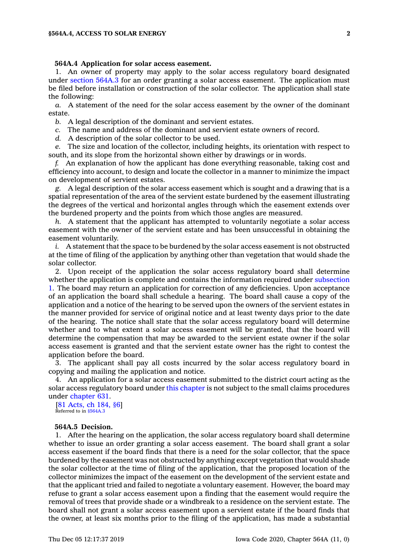### **564A.4 Application for solar access easement.**

1. An owner of property may apply to the solar access regulatory board designated under [section](https://www.legis.iowa.gov/docs/code/564A.3.pdf) 564A.3 for an order granting <sup>a</sup> solar access easement. The application must be filed before installation or construction of the solar collector. The application shall state the following:

*a.* A statement of the need for the solar access easement by the owner of the dominant estate.

*b.* A legal description of the dominant and servient estates.

*c.* The name and address of the dominant and servient estate owners of record.

*d.* A description of the solar collector to be used.

*e.* The size and location of the collector, including heights, its orientation with respect to south, and its slope from the horizontal shown either by drawings or in words.

*f.* An explanation of how the applicant has done everything reasonable, taking cost and efficiency into account, to design and locate the collector in <sup>a</sup> manner to minimize the impact on development of servient estates.

*g.* A legal description of the solar access easement which is sought and <sup>a</sup> drawing that is <sup>a</sup> spatial representation of the area of the servient estate burdened by the easement illustrating the degrees of the vertical and horizontal angles through which the easement extends over the burdened property and the points from which those angles are measured.

*h.* A statement that the applicant has attempted to voluntarily negotiate <sup>a</sup> solar access easement with the owner of the servient estate and has been unsuccessful in obtaining the easement voluntarily.

*i.* A statement that the space to be burdened by the solar access easement is not obstructed at the time of filing of the application by anything other than vegetation that would shade the solar collector.

2. Upon receipt of the application the solar access regulatory board shall determine whether the application is complete and contains the information required under [subsection](https://www.legis.iowa.gov/docs/code/564A.4.pdf) [1](https://www.legis.iowa.gov/docs/code/564A.4.pdf). The board may return an application for correction of any deficiencies. Upon acceptance of an application the board shall schedule <sup>a</sup> hearing. The board shall cause <sup>a</sup> copy of the application and <sup>a</sup> notice of the hearing to be served upon the owners of the servient estates in the manner provided for service of original notice and at least twenty days prior to the date of the hearing. The notice shall state that the solar access regulatory board will determine whether and to what extent <sup>a</sup> solar access easement will be granted, that the board will determine the compensation that may be awarded to the servient estate owner if the solar access easement is granted and that the servient estate owner has the right to contest the application before the board.

3. The applicant shall pay all costs incurred by the solar access regulatory board in copying and mailing the application and notice.

4. An application for <sup>a</sup> solar access easement submitted to the district court acting as the solar access regulatory board under this [chapter](https://www.legis.iowa.gov/docs/code//564A.pdf) is not subject to the small claims procedures under [chapter](https://www.legis.iowa.gov/docs/code//631.pdf) 631.

[81 [Acts,](https://www.legis.iowa.gov/docs/acts/1981/CH0184.pdf) ch 184, §6] Referred to in [§564A.3](https://www.legis.iowa.gov/docs/code/564A.3.pdf)

#### **564A.5 Decision.**

1. After the hearing on the application, the solar access regulatory board shall determine whether to issue an order granting <sup>a</sup> solar access easement. The board shall grant <sup>a</sup> solar access easement if the board finds that there is <sup>a</sup> need for the solar collector, that the space burdened by the easement was not obstructed by anything except vegetation that would shade the solar collector at the time of filing of the application, that the proposed location of the collector minimizes the impact of the easement on the development of the servient estate and that the applicant tried and failed to negotiate <sup>a</sup> voluntary easement. However, the board may refuse to grant <sup>a</sup> solar access easement upon <sup>a</sup> finding that the easement would require the removal of trees that provide shade or <sup>a</sup> windbreak to <sup>a</sup> residence on the servient estate. The board shall not grant <sup>a</sup> solar access easement upon <sup>a</sup> servient estate if the board finds that the owner, at least six months prior to the filing of the application, has made <sup>a</sup> substantial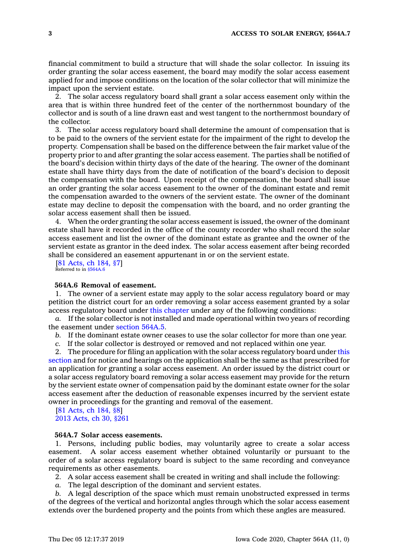financial commitment to build <sup>a</sup> structure that will shade the solar collector. In issuing its order granting the solar access easement, the board may modify the solar access easement applied for and impose conditions on the location of the solar collector that will minimize the impact upon the servient estate.

2. The solar access regulatory board shall grant <sup>a</sup> solar access easement only within the area that is within three hundred feet of the center of the northernmost boundary of the collector and is south of <sup>a</sup> line drawn east and west tangent to the northernmost boundary of the collector.

3. The solar access regulatory board shall determine the amount of compensation that is to be paid to the owners of the servient estate for the impairment of the right to develop the property. Compensation shall be based on the difference between the fair market value of the property prior to and after granting the solar access easement. The parties shall be notified of the board's decision within thirty days of the date of the hearing. The owner of the dominant estate shall have thirty days from the date of notification of the board's decision to deposit the compensation with the board. Upon receipt of the compensation, the board shall issue an order granting the solar access easement to the owner of the dominant estate and remit the compensation awarded to the owners of the servient estate. The owner of the dominant estate may decline to deposit the compensation with the board, and no order granting the solar access easement shall then be issued.

4. When the order granting the solar access easement is issued, the owner of the dominant estate shall have it recorded in the office of the county recorder who shall record the solar access easement and list the owner of the dominant estate as grantee and the owner of the servient estate as grantor in the deed index. The solar access easement after being recorded shall be considered an easement appurtenant in or on the servient estate.

[81 [Acts,](https://www.legis.iowa.gov/docs/acts/1981/CH0184.pdf) ch 184, §7] Referred to in [§564A.6](https://www.legis.iowa.gov/docs/code/564A.6.pdf)

# **564A.6 Removal of easement.**

1. The owner of <sup>a</sup> servient estate may apply to the solar access regulatory board or may petition the district court for an order removing <sup>a</sup> solar access easement granted by <sup>a</sup> solar access regulatory board under this [chapter](https://www.legis.iowa.gov/docs/code//564A.pdf) under any of the following conditions:

*a.* If the solar collector is not installed and made operational within two years of recording the easement under [section](https://www.legis.iowa.gov/docs/code/564A.5.pdf) 564A.5.

*b.* If the dominant estate owner ceases to use the solar collector for more than one year.

*c.* If the solar collector is destroyed or removed and not replaced within one year.

2. The procedure for filing an application with the solar access regulatory board under [this](https://www.legis.iowa.gov/docs/code/564A.6.pdf) [section](https://www.legis.iowa.gov/docs/code/564A.6.pdf) and for notice and hearings on the application shall be the same as that prescribed for an application for granting <sup>a</sup> solar access easement. An order issued by the district court or <sup>a</sup> solar access regulatory board removing <sup>a</sup> solar access easement may provide for the return by the servient estate owner of compensation paid by the dominant estate owner for the solar access easement after the deduction of reasonable expenses incurred by the servient estate owner in proceedings for the granting and removal of the easement.

[81 [Acts,](https://www.legis.iowa.gov/docs/acts/1981/CH0184.pdf) ch 184, §8] 2013 [Acts,](https://www.legis.iowa.gov/docs/acts/2013/CH0030.pdf) ch 30, §261

### **564A.7 Solar access easements.**

1. Persons, including public bodies, may voluntarily agree to create <sup>a</sup> solar access easement. A solar access easement whether obtained voluntarily or pursuant to the order of <sup>a</sup> solar access regulatory board is subject to the same recording and conveyance requirements as other easements.

2. A solar access easement shall be created in writing and shall include the following:

*a.* The legal description of the dominant and servient estates.

*b.* A legal description of the space which must remain unobstructed expressed in terms of the degrees of the vertical and horizontal angles through which the solar access easement extends over the burdened property and the points from which these angles are measured.